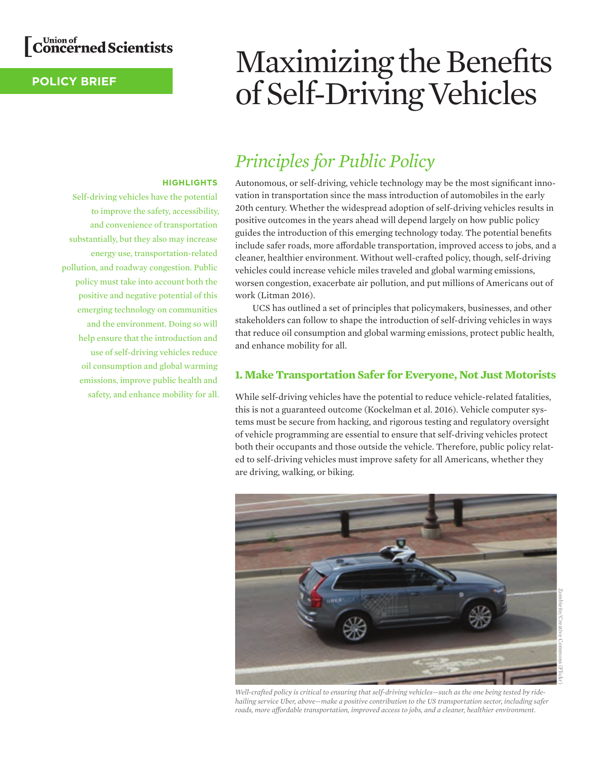

**HIGHLIGHTS**

Self-driving vehicles have the potential to improve the safety, accessibility, and convenience of transportation substantially, but they also may increase energy use, transportation-related

pollution, and roadway congestion. Public policy must take into account both the positive and negative potential of this emerging technology on communities and the environment. Doing so will help ensure that the introduction and use of self-driving vehicles reduce oil consumption and global warming emissions, improve public health and safety, and enhance mobility for all.

## **POLICY BRIEF**

# Maximizing the Benefits of Self-Driving Vehicles

## *Principles for Public Policy*

Autonomous, or self-driving, vehicle technology may be the most significant innovation in transportation since the mass introduction of automobiles in the early 20th century. Whether the widespread adoption of self-driving vehicles results in positive outcomes in the years ahead will depend largely on how public policy guides the introduction of this emerging technology today. The potential benefits include safer roads, more affordable transportation, improved access to jobs, and a cleaner, healthier environment. Without well-crafted policy, though, self-driving vehicles could increase vehicle miles traveled and global warming emissions, worsen congestion, exacerbate air pollution, and put millions of Americans out of work (Litman 2016).

UCS has outlined a set of principles that policymakers, businesses, and other stakeholders can follow to shape the introduction of self-driving vehicles in ways that reduce oil consumption and global warming emissions, protect public health, and enhance mobility for all.

### **1. Make Transportation Safer for Everyone, Not Just Motorists**

While self-driving vehicles have the potential to reduce vehicle-related fatalities, this is not a guaranteed outcome (Kockelman et al. 2016). Vehicle computer systems must be secure from hacking, and rigorous testing and regulatory oversight of vehicle programming are essential to ensure that self-driving vehicles protect both their occupants and those outside the vehicle. Therefore, public policy related to self-driving vehicles must improve safety for all Americans, whether they are driving, walking, or biking.



*Well-crafted policy is critical to ensuring that self-driving vehicles—such as the one being tested by ridehailing service Uber, above—make a positive contribution to the US transportation sector, including safer roads, more affordable transportation, improved access to jobs, and a cleaner, healthier environment.*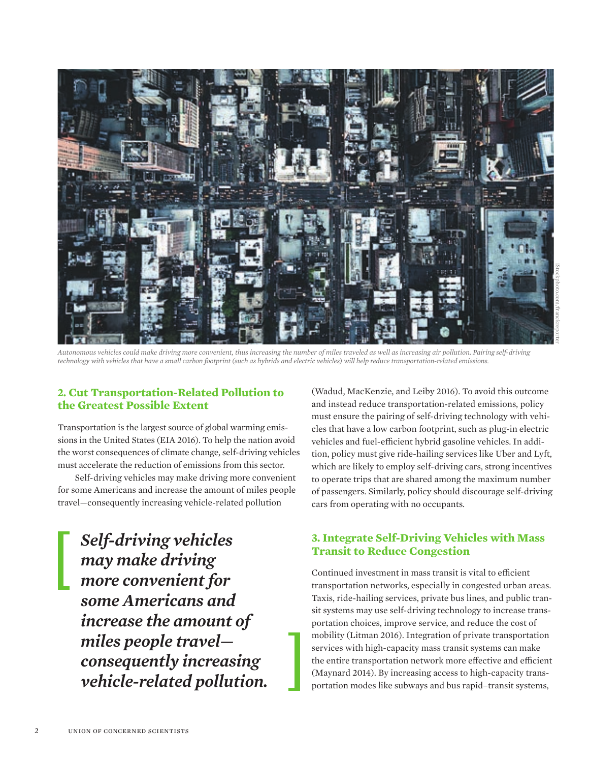

*Autonomous vehicles could make driving more convenient, thus increasing the number of miles traveled as well as increasing air pollution. Pairing self-driving technology with vehicles that have a small carbon footprint (such as hybrids and electric vehicles) will help reduce transportation-related emissions.*

#### **2. Cut Transportation-Related Pollution to the Greatest Possible Extent**

Transportation is the largest source of global warming emissions in the United States (EIA 2016). To help the nation avoid the worst consequences of climate change, self-driving vehicles must accelerate the reduction of emissions from this sector.

Self-driving vehicles may make driving more convenient for some Americans and increase the amount of miles people travel—consequently increasing vehicle-related pollution

*Self-driving vehicles may make driving more convenient for some Americans and increase the amount of miles people travel consequently increasing vehicle-related pollution.*

(Wadud, MacKenzie, and Leiby 2016). To avoid this outcome and instead reduce transportation-related emissions, policy must ensure the pairing of self-driving technology with vehicles that have a low carbon footprint, such as plug-in electric vehicles and fuel-efficient hybrid gasoline vehicles. In addition, policy must give ride-hailing services like Uber and Lyft, which are likely to employ self-driving cars, strong incentives to operate trips that are shared among the maximum number of passengers. Similarly, policy should discourage self-driving cars from operating with no occupants.

## **3. Integrate Self-Driving Vehicles with Mass Transit to Reduce Congestion**

Continued investment in mass transit is vital to efficient transportation networks, especially in congested urban areas. Taxis, ride-hailing services, private bus lines, and public transit systems may use self-driving technology to increase transportation choices, improve service, and reduce the cost of mobility (Litman 2016). Integration of private transportation services with high-capacity mass transit systems can make the entire transportation network more effective and efficient (Maynard 2014). By increasing access to high-capacity transportation modes like subways and bus rapid–transit systems,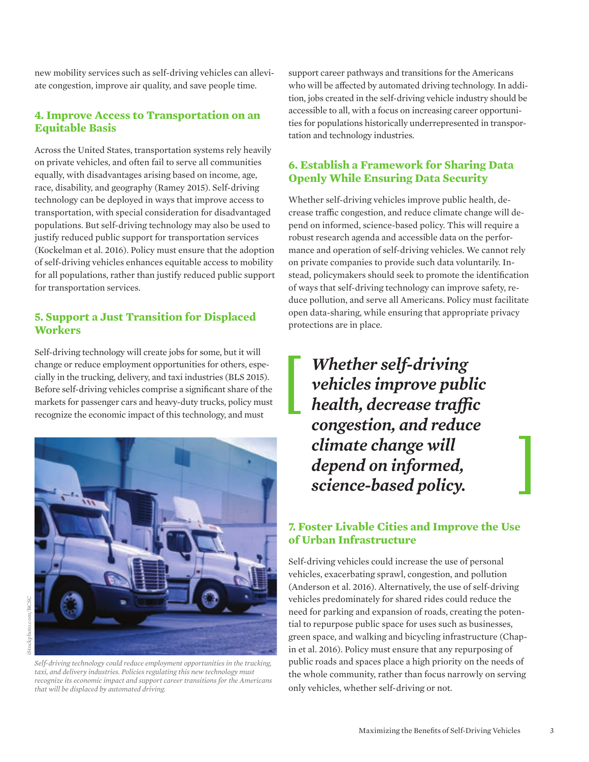new mobility services such as self-driving vehicles can alleviate congestion, improve air quality, and save people time.

#### **4. Improve Access to Transportation on an Equitable Basis**

Across the United States, transportation systems rely heavily on private vehicles, and often fail to serve all communities equally, with disadvantages arising based on income, age, race, disability, and geography (Ramey 2015). Self-driving technology can be deployed in ways that improve access to transportation, with special consideration for disadvantaged populations. But self-driving technology may also be used to justify reduced public support for transportation services (Kockelman et al. 2016). Policy must ensure that the adoption of self-driving vehicles enhances equitable access to mobility for all populations, rather than justify reduced public support for transportation services.

## **5. Support a Just Transition for Displaced Workers**

Self-driving technology will create jobs for some, but it will change or reduce employment opportunities for others, especially in the trucking, delivery, and taxi industries (BLS 2015). Before self-driving vehicles comprise a significant share of the markets for passenger cars and heavy-duty trucks, policy must recognize the economic impact of this technology, and must



*Self-driving technology could reduce employment opportunities in the trucking, taxi, and delivery industries. Policies regulating this new technology must recognize its economic impact and support career transitions for the Americans that will be displaced by automated driving.*

support career pathways and transitions for the Americans who will be affected by automated driving technology. In addition, jobs created in the self-driving vehicle industry should be accessible to all, with a focus on increasing career opportunities for populations historically underrepresented in transportation and technology industries.

## **6. Establish a Framework for Sharing Data Openly While Ensuring Data Security**

Whether self-driving vehicles improve public health, decrease traffic congestion, and reduce climate change will depend on informed, science-based policy. This will require a robust research agenda and accessible data on the performance and operation of self-driving vehicles. We cannot rely on private companies to provide such data voluntarily. Instead, policymakers should seek to promote the identification of ways that self-driving technology can improve safety, reduce pollution, and serve all Americans. Policy must facilitate open data-sharing, while ensuring that appropriate privacy protections are in place.

*Whether self-driving vehicles improve public health, decrease traffic congestion, and reduce climate change will depend on informed, science-based policy.* 

## **7. Foster Livable Cities and Improve the Use of Urban Infrastructure**

Self-driving vehicles could increase the use of personal vehicles, exacerbating sprawl, congestion, and pollution (Anderson et al. 2016). Alternatively, the use of self-driving vehicles predominately for shared rides could reduce the need for parking and expansion of roads, creating the potential to repurpose public space for uses such as businesses, green space, and walking and bicycling infrastructure (Chapin et al. 2016). Policy must ensure that any repurposing of public roads and spaces place a high priority on the needs of the whole community, rather than focus narrowly on serving only vehicles, whether self-driving or not.